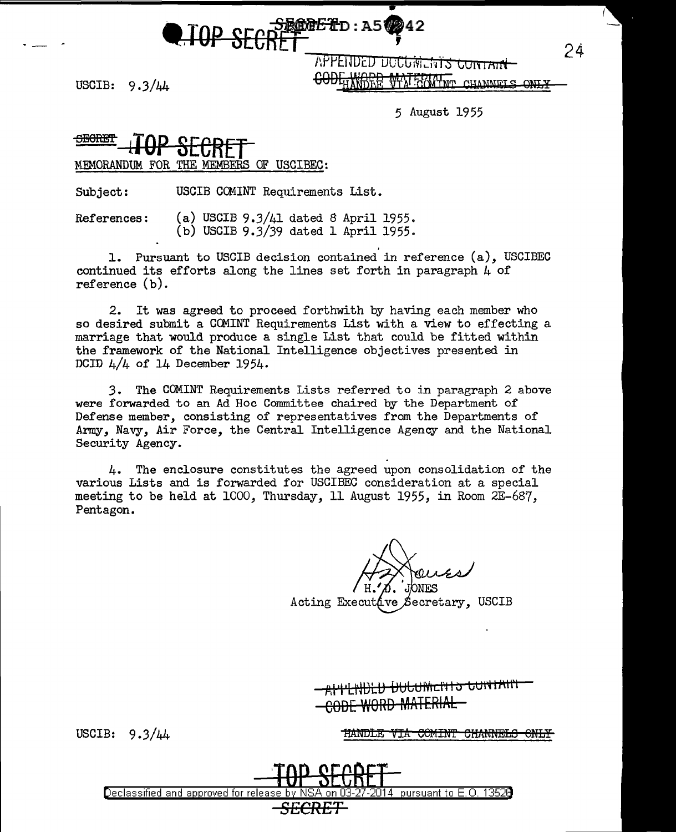• **TOP SECRET** : A50242

/\t-'PE1JD~o uoCtJiviLh Ls to ii 1A1rt USCIB:  $9.3/\mu$  GODFHANDER WTA GOWINT CHANNELS ONLY

24

 $\cdot$  -  $\cdot$ 

5 August 1955

~elm **LTOP SECRET**  MEMORANDUM FOR THE MEMBERS OF USCIBEC:

Subject: USCIB CCMINT Requirements List.

References: (a) USCIB 9.3/41 dated 8 April 1955. (b) USCIB 9.3/39 dated 1 April 1955.

1. Pursuant to USCIB decision contained in reference (a), USCIBEC continued its efforts along the lines set forth in paragraph  $\mu$  of reference (b).

2. It was agreed to proceed forthwith by having each member who so desired submit a CCMINT Requirements List with a view to effecting a marriage that would produce a single List that could be fitted within the framework of the National Intelligence objectives presented in DCID  $4/4$  of 14 December 1954.

3. The COMINT Requirements Lists referred to in paragraph 2 above were forwarded to an Ad Hoc Committee chaired by the Department of Defense member, consisting of representatives from the Departments of Army, Navy, Air Force, the Central Intelligence Agency and the National Security Agency.

4. The enclosure constitutes the agreed upon consolidation of the various Lists and is forwarded for USCIBEC consideration at a special meeting to be held at 1000, Thursday, 11 August 1955, in Room 2E-687, Pentagon.

**ONES** 

Acting Executáve Secretary, USCIB

A<del>'ll IXIGUMENTS GUNTAIN</del> CODE WORD MATERIAL

USCIB:  $9.3/44$ 

HANDLE VIA COMINT CHANNELS ONLY

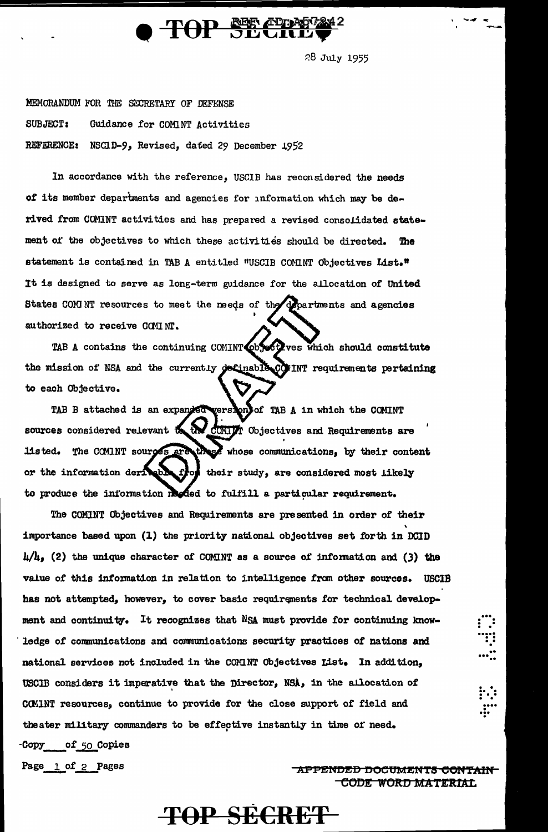

28 July 1955

MEMORANDUM FOR THE SECRETARY OF DEFENSE **SUBJECT:** Guidance for COMINT Activities REFERENCE: NSCID-9, Revised, dated 29 December 1952

In accordance with the reference, USCIB has reconsidered the needs of its member departments and agencies for information which may be derived from COMINT activities and has prepared a revised consolidated statement of the objectives to which these activities should be directed. The statement is contained in TAB A entitled "USCIB COMINT Objectives List." It is designed to serve as long-term guidance for the allocation of United States COMNT resources to meet the meeds of the departments and agencies authorized to receive COMINT.

TAB A contains the continuing COMINT objectives which should constitute the mission of NSA and the currently definable COMINT requirements pertaining to each Objective.

TAB B attached is an expanded version of TAB A in which the COMINT sources considered relevant to the compri Objectives and Requirements are The COMINT sources are these whose communications, by their content listed. or the information deriveb. their study, are considered most likely to produce the information reded to fulfill a particular requirement.

The COMINT Objectives and Requirements are presented in order of their importance based upon (1) the priority national objectives set forth in DCID  $\mu/\mu$ , (2) the unique character of COMINT as a source of information and (3) the value of this information in relation to intelligence from other sources. USCIB has not attempted, however, to cover basic requirements for technical development and continuity. It recognizes that NSA must provide for continuing knowledge of communications and communications security practices of nations and national services not included in the COMINT Objectives List. In addition, USCIB considers it imperative that the Director, NSA, in the allocation of CCMINT resources, continue to provide for the close support of field and theater military commanders to be effective instantly in time of need. -Copy of 50 Copies

Page 1 of 2 Pages

APPENDED DOCUMENTS CONTAIN **CODE WORD MATERIAL** 

# **TOP SECRET**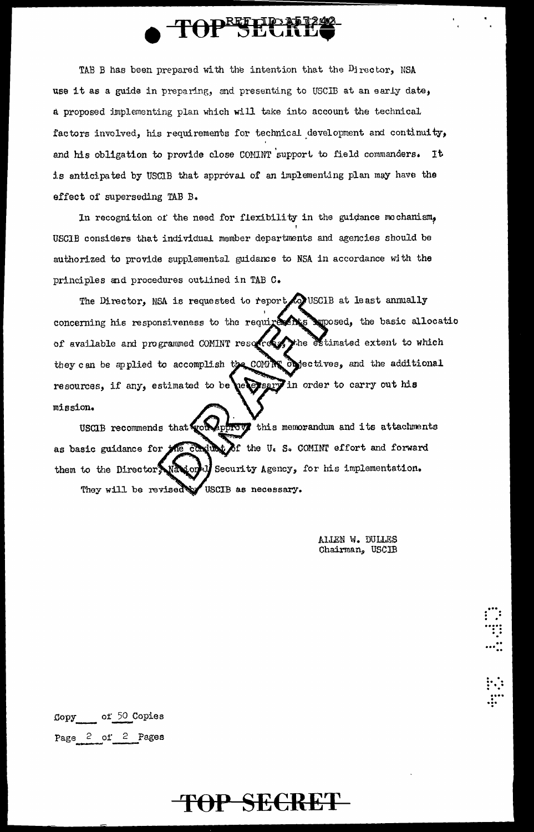

TAB B has been prepared with the intention that the Director, NSA use it as a guide in preparing, and presenting to USCIB at an early date, a proposed implementing plan which will take into account the technical factors involved, his requirements for technical development and continuity, and his obligation to provide close COMINT support to field commanders. It is anticipated by USCIB that approval of an implementing plan may have the effect of superseding TAB B.

In recognition of the need for flexibility in the guidance mechanism, USCIB considers that individual member departments and agencies should be authorized to provide supplemental guidance to NSA in accordance with the principles and procedures outlined in TAB C.

Co USCIB at least annually The Director, NSA is requested to report concerning his responsiveness to the requirements suposed, the basic allocatio of available and programmed COMINT resorted the estimated extent to which they can be applied to accomplish the COMPS objectives, and the additional persent in order to carry out his resources, if any, estimated to be mission.

USCIB recommends that work approve this memorandum and its attachments as basic guidance for the conduct of the U.S. COMINT effort and forward Security Agency, for his implementation. them to the Director Nation They will be revised w USCIB as necessary.

> ALLEN W. DULLES Chairman, USCIB

of 50 Copies Copy Page 2 of 2 Pages

## TOP SECRET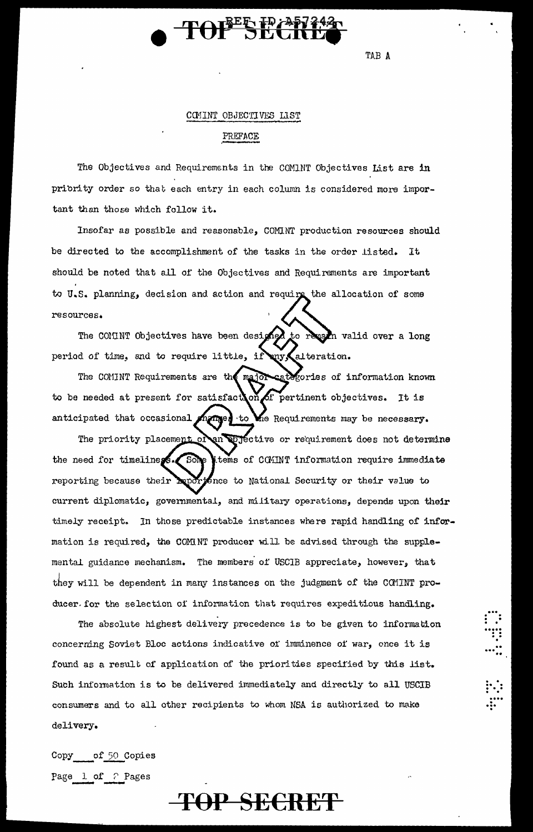

TAB A

**!!!**<br>:::

#### COMINT OBJECTIVES LIST

#### PREFACE

The Objectives and Requirements in the COMINT Objectives List are in priority order so that each entry in each column is considered more important than those which follow it.

Insofar as possible and reasonable, COMINT production resources should be directed to the accomplishment of the tasks in the order listed. It should be noted that all of the Objectives and Requirements are important to U.S. planning, decision and action and require the allocation of some resources.

The COMINT Objectives have been designed to reason valid over a long period of time, and to require little, if any alteration.

The COMINT Requirements are the major categories of information known to be needed at present for satisfact on of pertinent objectives. It is anticipated that occasional manner to the Requirements may be necessary.

The priority placement of an objective or requirement does not determine the need for timeliness. Some tems of COMINT information require immediate reporting because their bup tence to National Security or their value to current diplomatic, governmental, and military operations, depends upon their timely receipt. In those predictable instances where rapid handling of information is required, the COMNT producer will be advised through the supplemental guidance mechanism. The members of USCIB appreciate, however, that they will be dependent in many instances on the judgment of the COMINT producer for the selection of information that requires expeditious handling.

The absolute highest delivery precedence is to be given to information concerning Soviet Bloc actions indicative of imminence of war, once it is found as a result of application of the priorities specified by this list. Such information is to be delivered immediately and directly to all USCIB consumers and to all other recipients to whom NSA is authorized to make delivery.

**TOP SECRET** 

Copy of 50 Copies Page 1 of ? Pages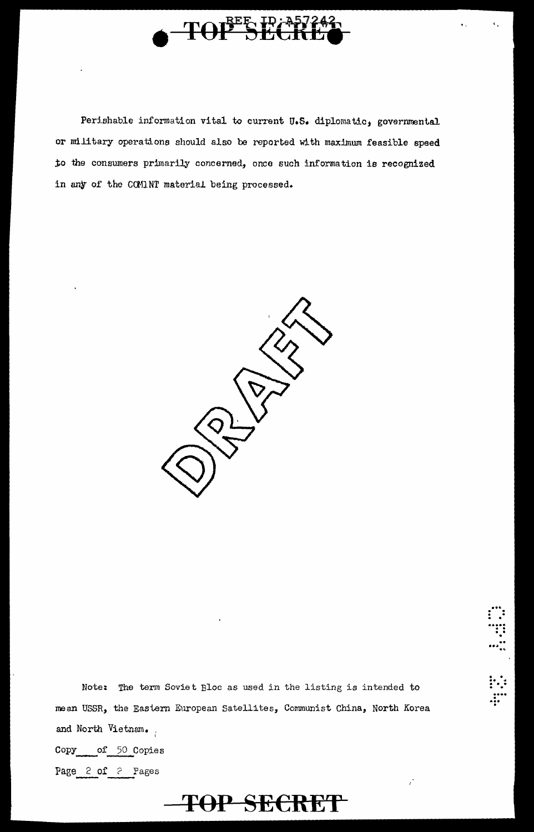

Perishable information vital to current U.S. diplomatic, governmental or military operations should also be reported with maximum feasible speed to the consumers primarily concerned, once such information is recognized in any of the COMINT material being processed.



Note: The term Soviet Bloc as used in the listing is intended to mean USSR, the Eastern European Satellites, Communist China, North Korea and North Vietnam. of 50 Copies Copy

TOP SECRET

Page 2 of 2 Pages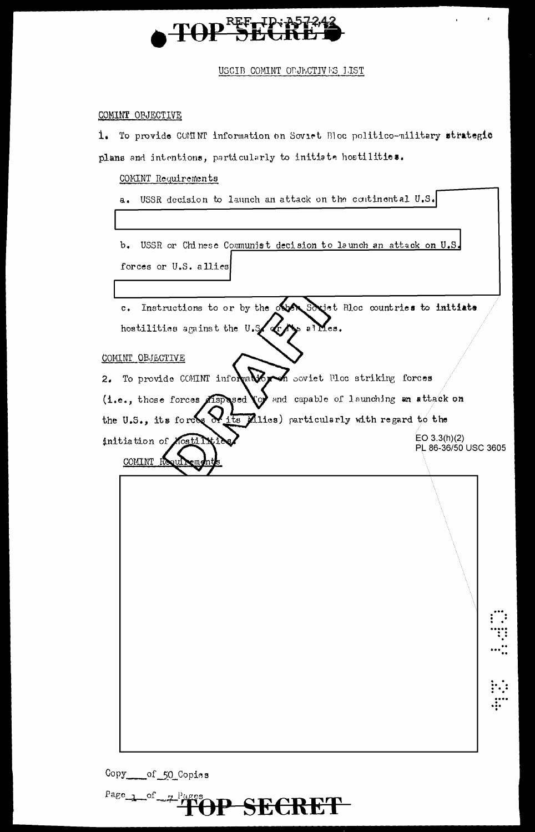

USCIB COMINT OPJECTIVES 1.IST

## COMINT OBJECTIVE

To provide COMINT information on Soviet Bloc politico-military strategic  $1.$ plans and intentions, particularly to initiate hostilities.

## COMINT Requirements

a. USSR decision to launch an attack on the continental U.S.

b. USSR or Chinese Communist decision to launch an attack on U.S. forces or U.S. allies

Instructions to or by the observed Societ Bloc countries to initiate  $\mathbf{c}$ . s al Mes. hostilities against the U.S.

COMINT OBJECTIVE

COMINT

m

To provide COMINT information soviet Moc striking forces  $2.5$ Aspecial of and capable of launching an attack on (i.e., those forces its Allies) particularly with regard to the the U.S., its forces  $EO 3.3(h)(2)$ initiation of PL 86-36/50 USC 3605

P SECRET

...

Copy \_\_\_\_\_ of \_50\_Copies

Page 1 of  $-7^{14}$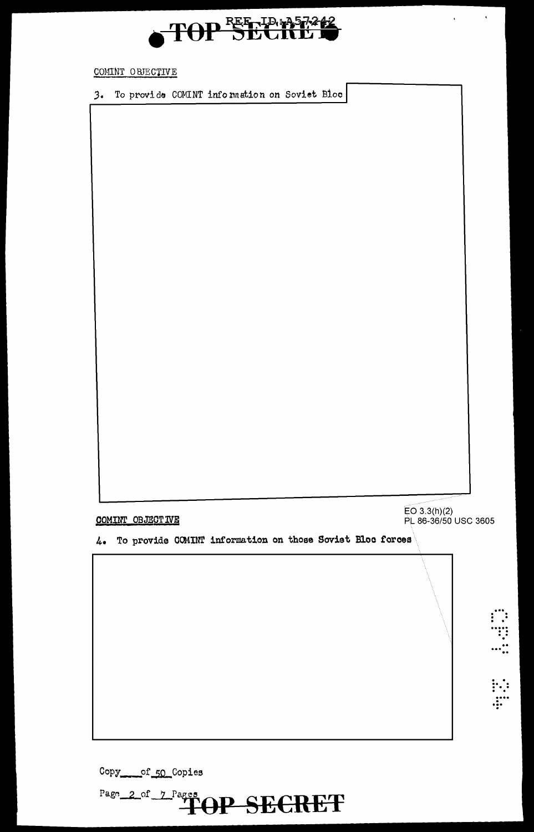

Copy\_\_\_\_\_of\_50\_Copies

| COMINT OBJECTIVE<br>To provide COMINT information on those Soviet Bloc forces<br>4. | EO 3.3(h)(2)<br>PL 86-36/50 USC 3605 |
|-------------------------------------------------------------------------------------|--------------------------------------|
|                                                                                     |                                      |
|                                                                                     |                                      |
|                                                                                     |                                      |
|                                                                                     | $\dddot{\mathbf{r}}$<br>$\ddot{r}$   |

3. To provide COMINT information on Soviet Bloc

COMINT OBJECTIVE



 $\hat{\mathbf{v}}$ 

 $\mathbf{v}^{\dagger}$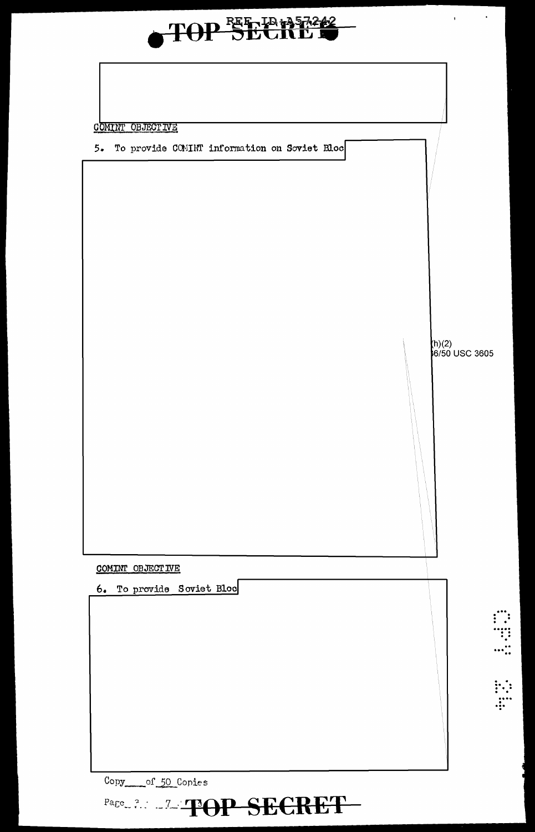

Copy of 50 Copies

Page 2.2 TOP SECRET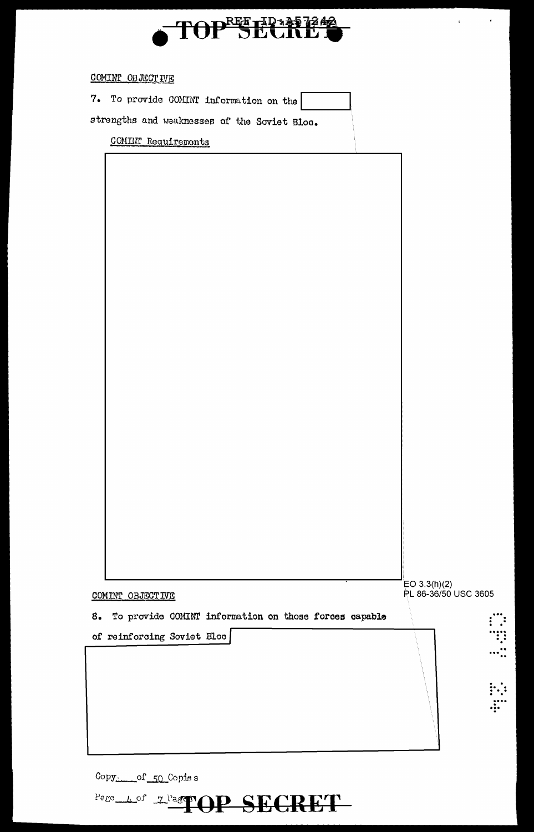

 $\begin{array}{c|c}\n\cdot & \cdot & \cdot \\
\hline\n\cdot & \cdot & \cdot\n\end{array}$ 

| 7. To provide COMINT information on the<br>strengths and weaknesses of the Soviet Bloc.<br>COMINT Requiremonts<br>EO 3.3(h)(2)<br>PL 86-36/50 USC 3605<br>COMINT OBJECTIVE<br>To provide COMINT information on those forces capable<br>8.<br>of reinforcing Soviet Bloc | COMINT OB JECT IVE |  |
|-------------------------------------------------------------------------------------------------------------------------------------------------------------------------------------------------------------------------------------------------------------------------|--------------------|--|
|                                                                                                                                                                                                                                                                         |                    |  |
|                                                                                                                                                                                                                                                                         |                    |  |
|                                                                                                                                                                                                                                                                         |                    |  |
|                                                                                                                                                                                                                                                                         |                    |  |
|                                                                                                                                                                                                                                                                         |                    |  |
|                                                                                                                                                                                                                                                                         |                    |  |
|                                                                                                                                                                                                                                                                         |                    |  |
|                                                                                                                                                                                                                                                                         |                    |  |
|                                                                                                                                                                                                                                                                         |                    |  |
|                                                                                                                                                                                                                                                                         |                    |  |
|                                                                                                                                                                                                                                                                         |                    |  |
|                                                                                                                                                                                                                                                                         |                    |  |
|                                                                                                                                                                                                                                                                         |                    |  |
|                                                                                                                                                                                                                                                                         |                    |  |
|                                                                                                                                                                                                                                                                         |                    |  |
|                                                                                                                                                                                                                                                                         |                    |  |
|                                                                                                                                                                                                                                                                         |                    |  |
|                                                                                                                                                                                                                                                                         |                    |  |
|                                                                                                                                                                                                                                                                         |                    |  |
|                                                                                                                                                                                                                                                                         |                    |  |
|                                                                                                                                                                                                                                                                         |                    |  |
|                                                                                                                                                                                                                                                                         |                    |  |
|                                                                                                                                                                                                                                                                         |                    |  |
|                                                                                                                                                                                                                                                                         |                    |  |
|                                                                                                                                                                                                                                                                         |                    |  |
|                                                                                                                                                                                                                                                                         |                    |  |
|                                                                                                                                                                                                                                                                         |                    |  |
|                                                                                                                                                                                                                                                                         |                    |  |
|                                                                                                                                                                                                                                                                         |                    |  |
|                                                                                                                                                                                                                                                                         |                    |  |
|                                                                                                                                                                                                                                                                         |                    |  |
|                                                                                                                                                                                                                                                                         |                    |  |
|                                                                                                                                                                                                                                                                         |                    |  |

Copy. of 50 Copies

Pege Lof 2 Pager OP SECRET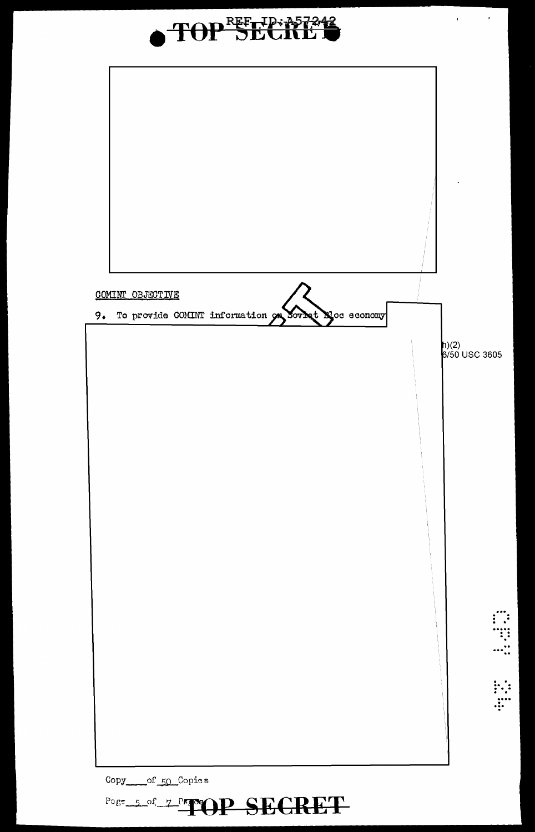

Copy of 50 Copies

Pogr\_5\_of\_7\_PageOP\_SECRET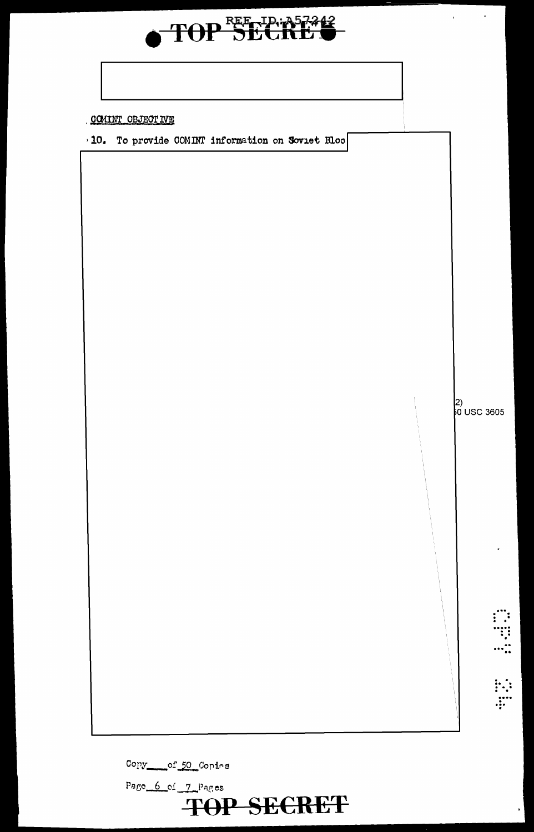

## COMINT OBJECTIVE

10. To provide COMINT information on Soviet Bloo

2)<br>0 USC 3605

 $\chi^2_{\rm max}$  and  $\chi^2_{\rm max}$ 

Copy\_\_\_\_of\_50\_Copies

Page 6 of 7 Pages **TOP SECRET**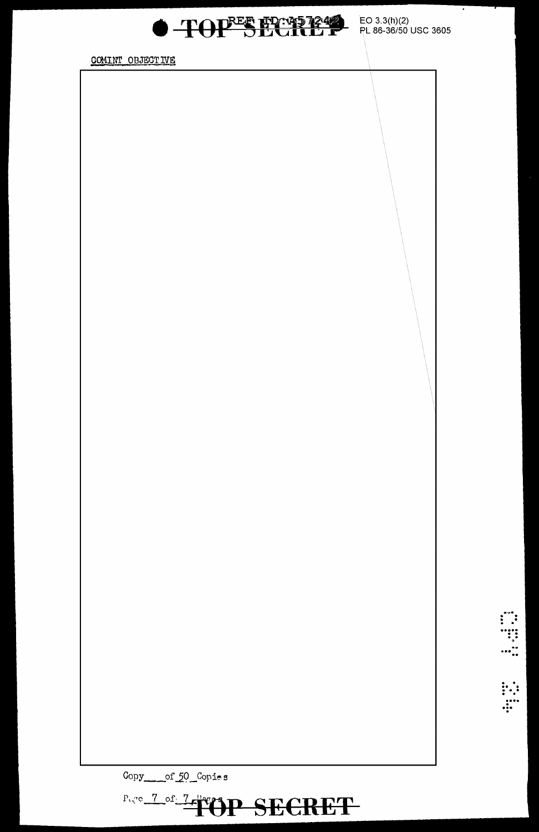

COMINT OBJECTIVE

Copy\_\_\_\_of\_50\_Copies

Page 7 of 7 PUP SECRET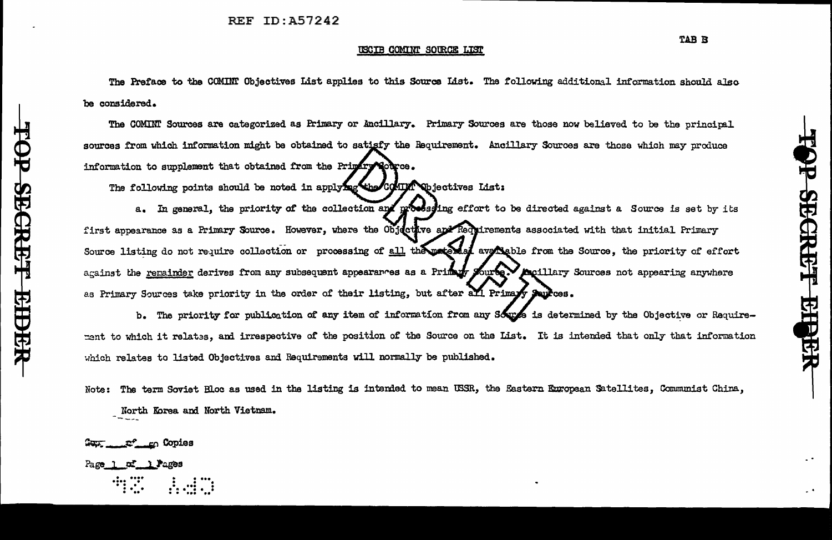#### USCIB COMINT SOURCE LIST

The Preface to the COMINT Objectives List applies to this Source List. The following additional information should also be considered.

The COMINT Sources are categorized as Primary or Ancillary. Primary Sources are those now believed to be the principal sources from which information might be obtained to satisfy the Requirement. Ancillary Sources are those which may produce information to supplement that obtained from the Primary Nobros.

The following points should be noted in applying the COMINT Objectives List:

a. In general, the priority of the collection and processing effort to be directed against a Source is set by its first appearance as a Primary Source. However, where the Objective and Requirements associated with that initial Primary Source listing do not require collection or processing of all the matched avereable from the Source, the priority of effort against the remainder derives from any subsequent appearances as a Primary Source. Accillary Sources not appearing anywhere as Primary Sources take priority in the order of their listing, but after all Primary Sources.

b. The priority for publication of any item of information from any Source is determined by the Objective or Requirement to which it relates, and irrespective of the position of the Source on the List. It is intended that only that information which relates to listed Objectives and Requirements will normally be published.

Note: The term Soviet Bloc as used in the listing is intended to mean USSR, the Eastern European Satellites, Communist China, North Korea and North Vietnam.

af en Copies

Page 1 of 1 Pages

Ť

SECRET

**RHORR**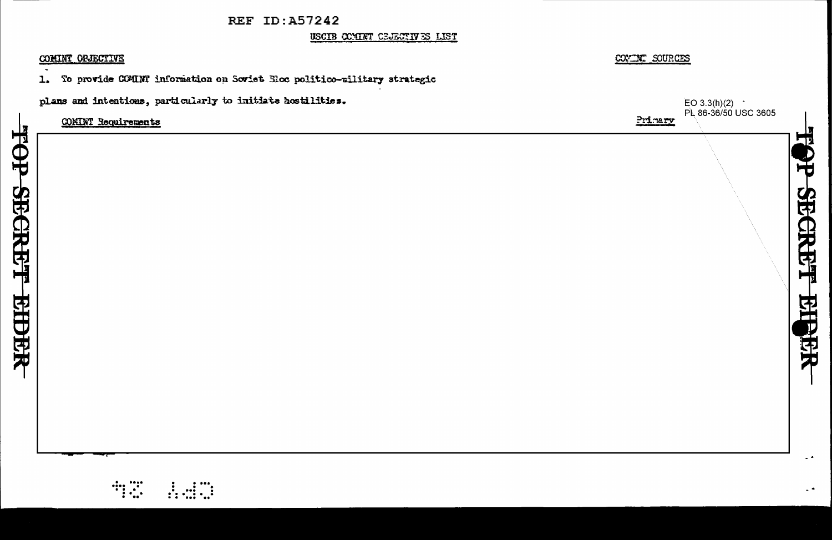USCIB COMINT CEJECTIVES LIST

#### COMINT ORJECTIVE

HOL

**SECRET** 

**EIDER** 

To provide COMINT information on Soviet Sloc politico-military strategic  $\mathbf{L}$ 

plans and intentions, particularly to initiate hostilities.



 $\ddot{\phantom{1}}$ 

COVINT SOURCES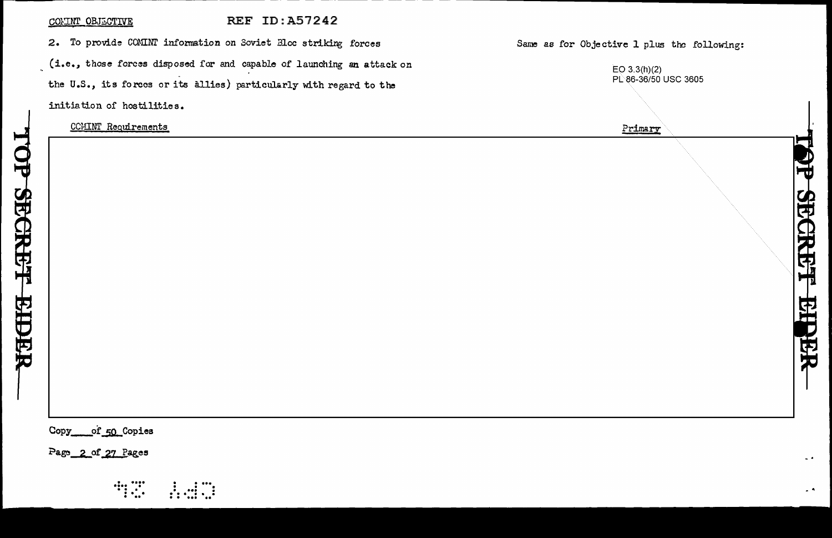#### COMINT OBJECTIVE

#### **REF ID: A57242**

2. To provide COMINT information on Soviet Bloc striking forces (i.e., those forces disposed for and capable of launching an attack on the U.S., its forces or its allies) particularly with regard to the initiation of hostilities.

CCMINT Requirements

#### Same as for Objective 1 plus the following:

| EO $3.3(h)(2)$       |
|----------------------|
| PL 86-36/50 USC 3605 |

5<br>由

**GRE'T EIDER** 

Primary

\_\_of\_50\_Copies Copy

Page 2 of 27 Pages

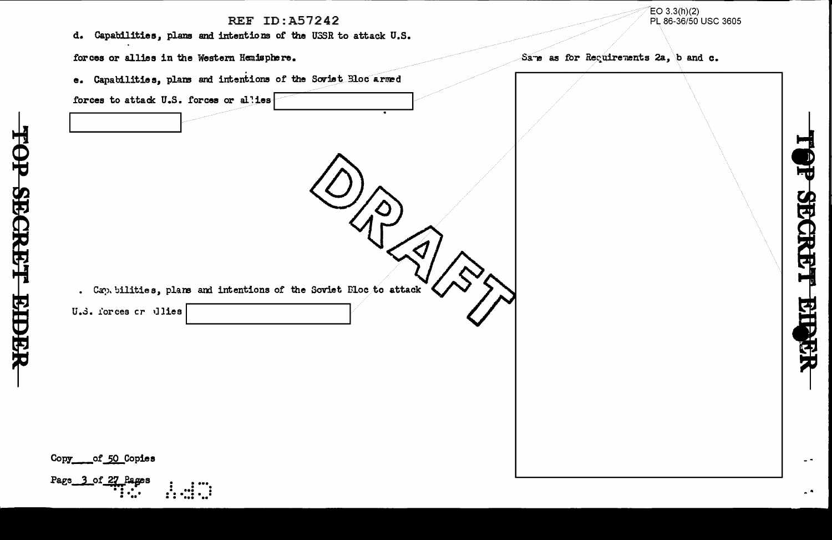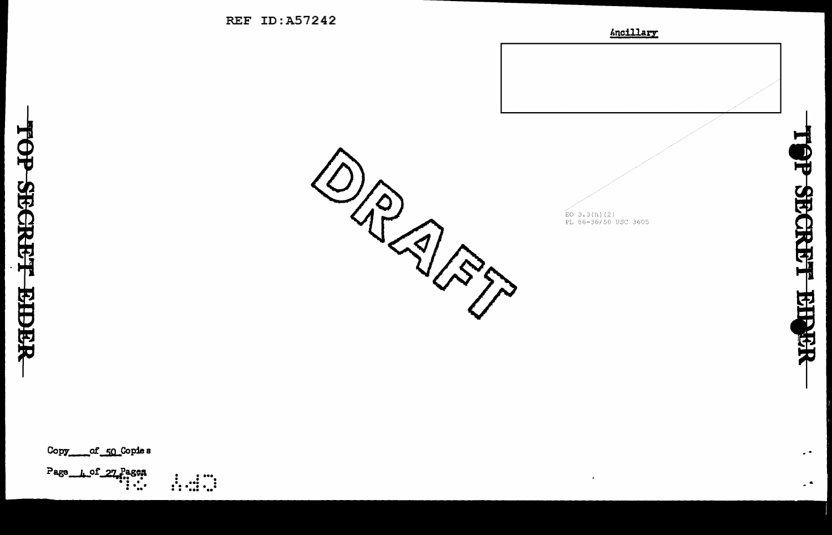

 $\stackrel{\sim}{\text{EO}}$  3.3(h)(2)<br>PL 86-36/50 USC 3605

 $\bullet$ 

**TOP SECRET EIPER** 

 $\bullet$   $\bullet$ 

 $\overline{a}$ 

Copy\_ \_\_of \_50\_Copie s

Page 1 of 27 Pages

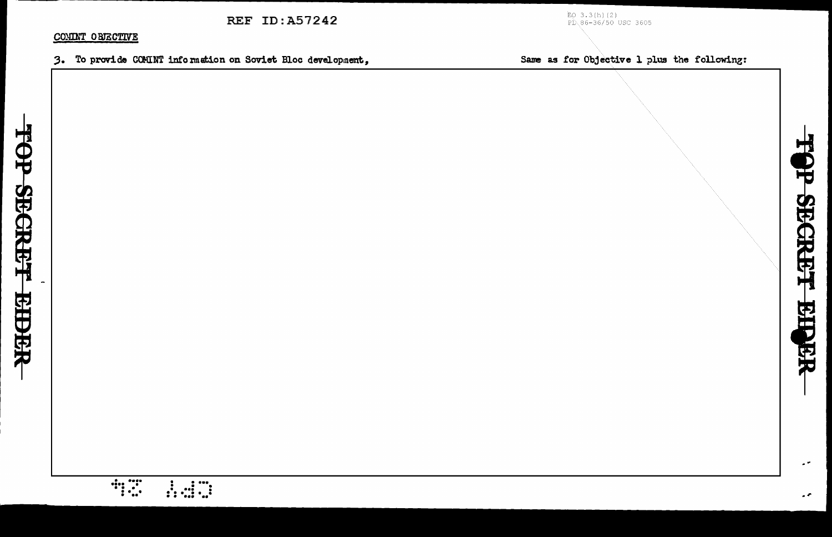EO 3.3(h)(2)<br>PL\86-36/50 USC 3605

#### COMINT OBJECTIVE

**Example** 

1.47

3. To provide COMINT information on Soviet Bloc development.

Same as for Objective 1 plus the following:

 $\overline{a}$ 

 $\epsilon$   $\tau$ 

TOP SECRET EIGH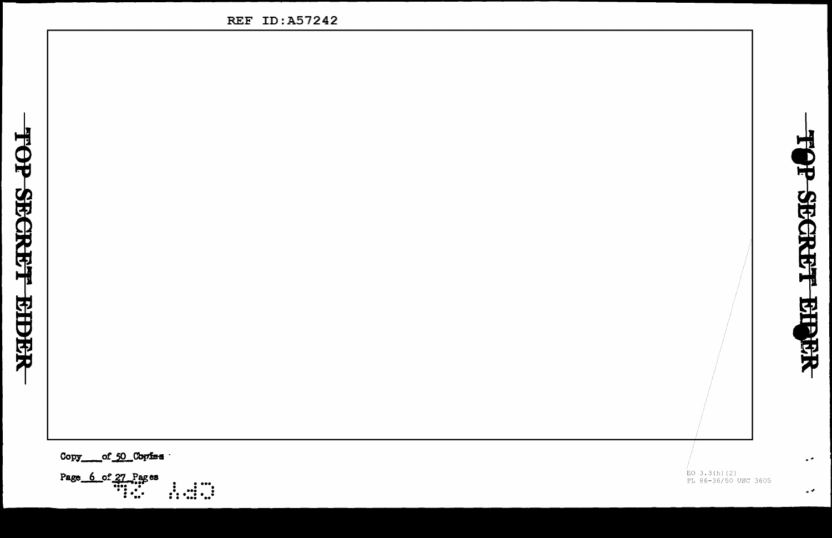

Copy\_ of 50 Coriss

Page  $6$  of 27 Pages  $\frac{1}{2}$   $\frac{1}{2}$   $\frac{1}{2}$   $\stackrel{'}{\text{EO}}$  3.3(h)(2)<br>PL 86-36/50 USC 3605

TOP SECRET

**BIBER** 

 $\sim$   $^{\circ}$ 

 $\sim$   $\sigma$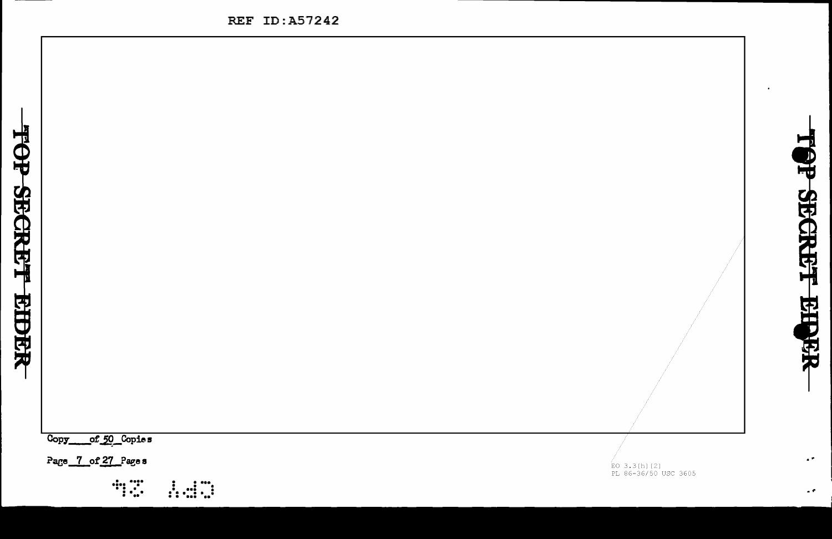

 $C<sub>opy</sub>$ of 50 Copies

Page 7 of 27 Page s



 $\stackrel{.}{\text{EO}}$  3.3(h)(2)<br>PL 86-36/50 USC 3605

**OP SECRET RIPER** 

 $\bullet$  .

 $\bullet$   $\bullet$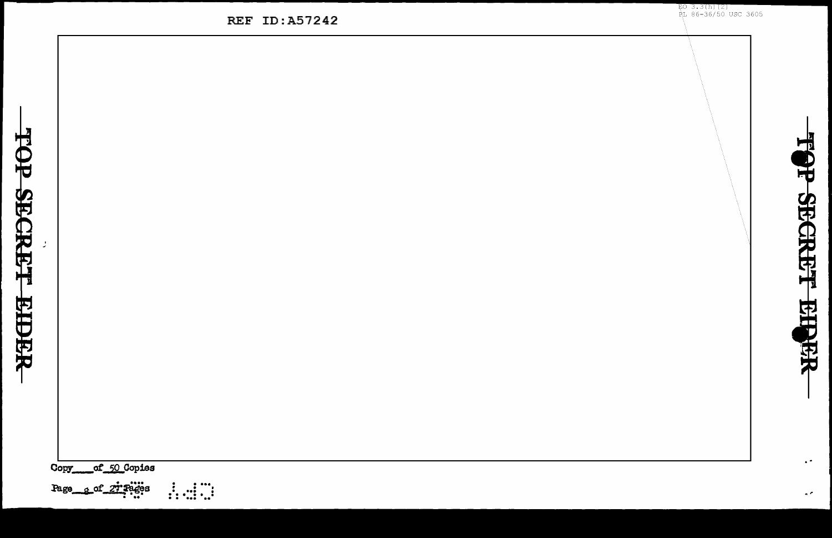of 50 Copies Copy

TOP SECRET

**REPER** 

Page\_g\_of\_zi:Pages

 $\begin{array}{cc} 1 & 1 & \cdots \\ \vdots & \vdots & \ddots \end{array}$ 

**REF ID:A57242** 

 $E_0$  3.3(h)(2)<br> $E_1$  86-36/50 USC 3605

TOP SECRET EIPER

 $\epsilon$  .

 $\sigma$   $\sigma$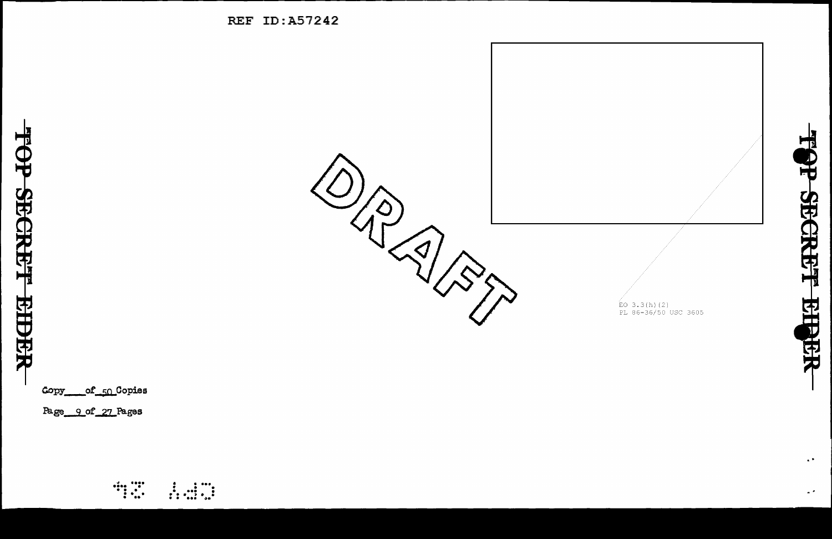

 $\bullet$  .

 $\ddot{\phantom{1}}$ 

Copy of 50 Copies

TOP SECRET EIDER

Page 9 of 27 Pages



**REF ID:A57242**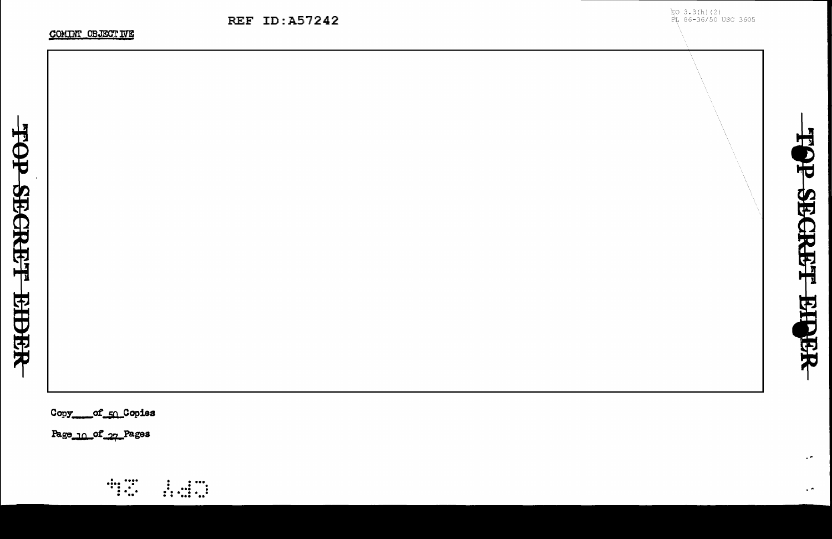TOP SECRET EIGER

 $\epsilon$   $\sigma$ 

 $\sim$   $\sim$ 

Copy of 50 Copies

Page\_10\_of\_27\_Pages

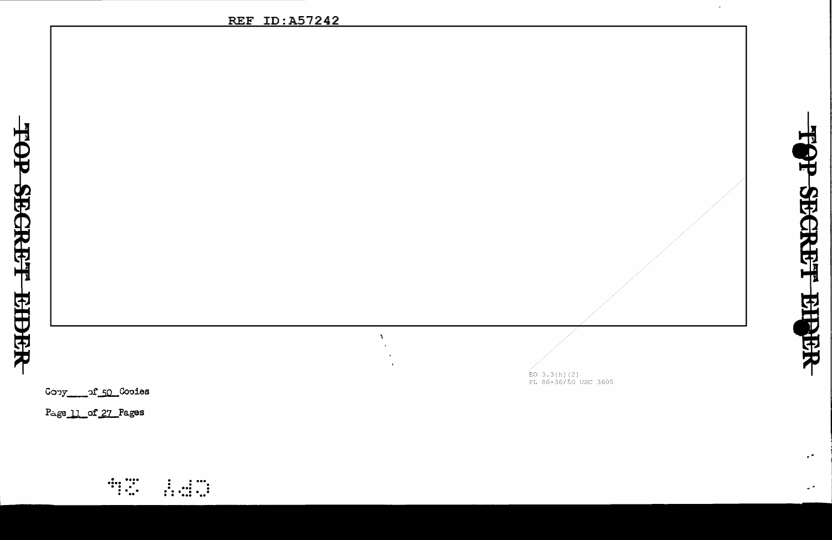$\Lambda$ 

Cony\_\_\_\_\_of\_50\_Cooies

Page 11 of 27 Pages

 $\mathbb{Z}$  :  $\begin{array}{cc} \vdots & \vdots & \cdots \\ \vdots & \vdots & \ddots \end{array}$   $\stackrel{\leftarrow}{\text{EO}}$  3.3(h)(2)<br>PL 86-36/50 USC 3605



 $\sim$ 

 $\mathbb{Z}^{(2)}$ 

 $\mathbb{R}^3$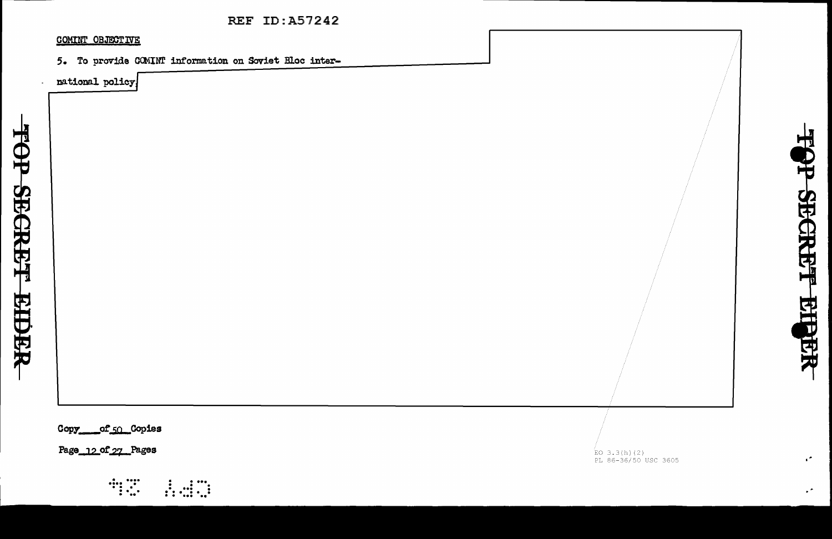#### COMINT OBJECTIVE

5. To provide COMINT information on Soviet Bloc inter-

national policy.

Copy of 50 Copies

Page 12 of 27 Pages



 $\stackrel{(1)}{\text{EO}}$  3.3(h)(2)<br>PL 86-36/50 USC 3605

 $\epsilon^{\star}$ 

TOP SECRET EILER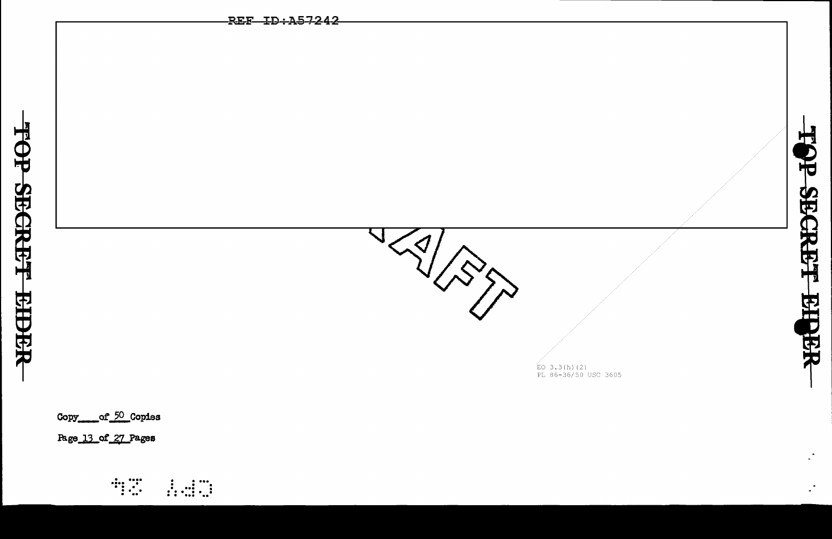

 $\mathbb{R}^{\mathbb{Z}}$ 

Copy\_\_\_\_of\_50\_Copies

Page 13 of 27 Pages

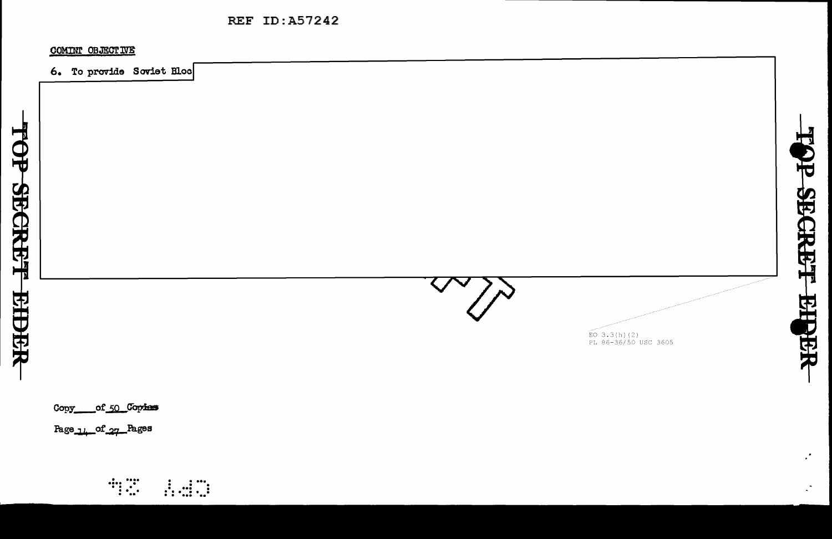COMINT OBJECTIVE

6. To provide Soviet Bloc

 $\begin{array}{l} \text{EO } 3.3 \text{ (h) (2)} \\ \text{PL } 86-36/50 \text{ USC } 3605 \end{array}$ 

TOP SECRET EIGER

 $\mathbf{r}$ 

 $\ddot{\phantom{a}}$ 

of 50 Copies Copy\_

Page 14 of 27 Pages

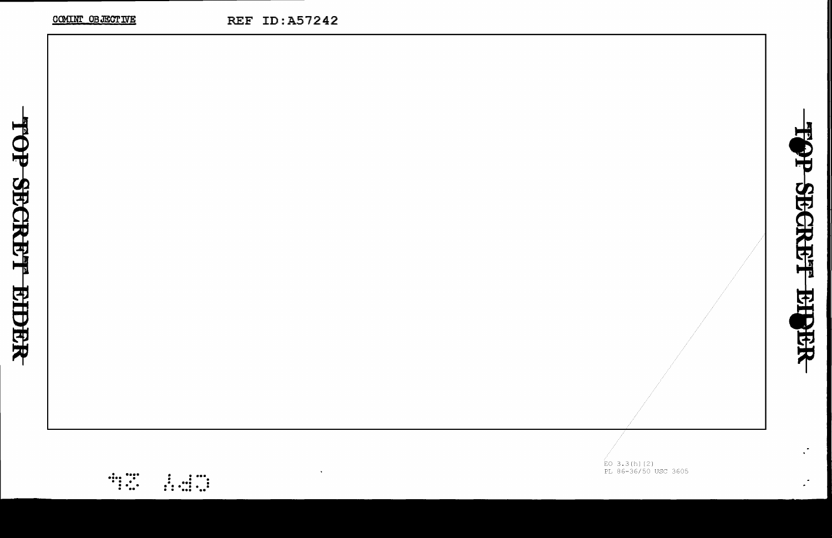$\overline{E}$ O 3.3(h)(2)<br>PL 86-36/50 USC 3605

TOP SECREF EISER

 $\mathcal{L}^{\mathcal{L}}$ 

 $\mathcal{L}$ 

 $\begin{array}{c} \mathbf{d}_{1} & \mathbf{d}_{2} \\ \mathbf{d}_{3} & \mathbf{d}_{4} \end{array}$ 

 $\begin{array}{cc} & \vdots & \vdots & \cdots \\ \vdots & \vdots & \vdots \\ \vdots & \vdots & \ddots \end{array}$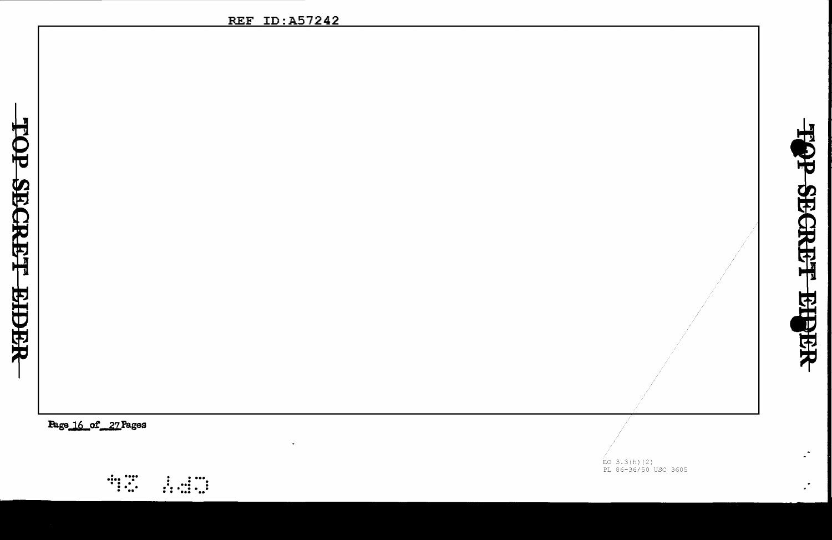$\mathbb{Z}^{\frac{1}{n}}$ 

 $\mathcal{L}^{\bullet}$ 

Page 16 of 27 Pages



 $\overleftrightarrow{E}$ O 3.3(h)(2)<br>PL 86-36/50 USC 3605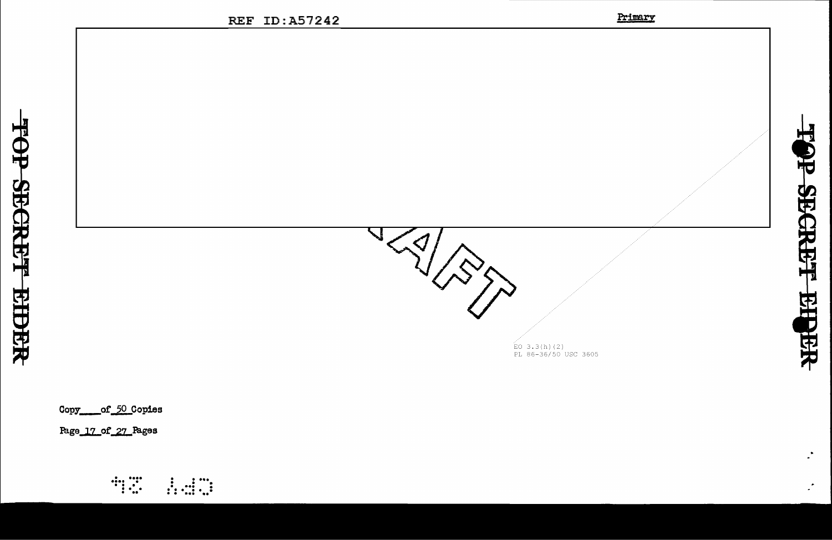





 $\mathcal{L}$ 

 $\mathcal{L}$ 

Copy of 50 Copies

Page 17 of 27 Pages

TOP SECRET EIDER

 $\begin{array}{c} \begin{array}{c} \bullet \\ \bullet \\ \bullet \\ \bullet \end{array} & \begin{array}{c} \bullet \\ \bullet \\ \bullet \\ \bullet \end{array} \end{array}$  $\begin{array}{cc} 1 & 1 \\ 1 & 1 \\ 1 & 1 \end{array}$   $\stackrel{\leftarrow}{\text{EO}}$  3.3(h)(2)<br>PL 86-36/50 USC 3605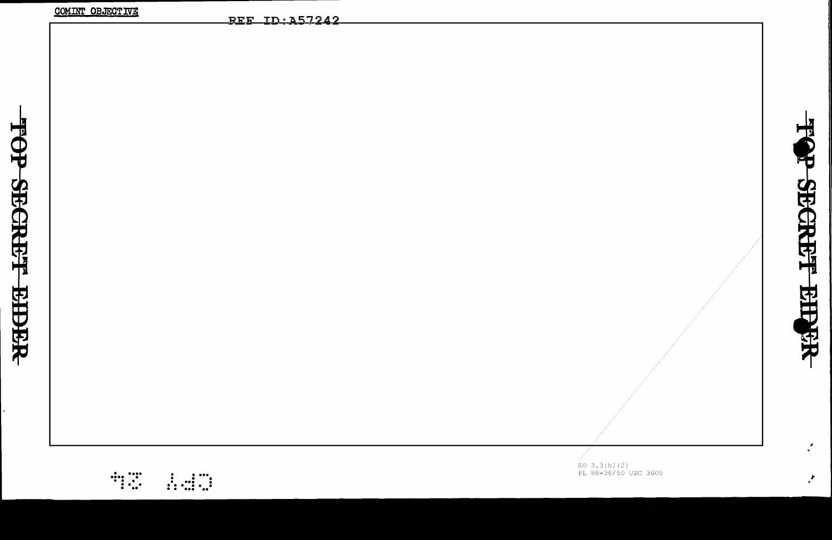| $\zeta$ |
|---------|
| j       |
|         |
| ،<br>ا  |
|         |
|         |
|         |
| l       |
|         |

| <b>COLLEGE ODDERLAND</b>                                                                                                                                                                                                                                                                                                                                                                                            | REF ID:A57242 |                                                                                 |
|---------------------------------------------------------------------------------------------------------------------------------------------------------------------------------------------------------------------------------------------------------------------------------------------------------------------------------------------------------------------------------------------------------------------|---------------|---------------------------------------------------------------------------------|
|                                                                                                                                                                                                                                                                                                                                                                                                                     |               |                                                                                 |
|                                                                                                                                                                                                                                                                                                                                                                                                                     |               |                                                                                 |
|                                                                                                                                                                                                                                                                                                                                                                                                                     |               |                                                                                 |
|                                                                                                                                                                                                                                                                                                                                                                                                                     |               |                                                                                 |
|                                                                                                                                                                                                                                                                                                                                                                                                                     |               |                                                                                 |
|                                                                                                                                                                                                                                                                                                                                                                                                                     |               |                                                                                 |
|                                                                                                                                                                                                                                                                                                                                                                                                                     |               |                                                                                 |
|                                                                                                                                                                                                                                                                                                                                                                                                                     |               |                                                                                 |
|                                                                                                                                                                                                                                                                                                                                                                                                                     |               |                                                                                 |
|                                                                                                                                                                                                                                                                                                                                                                                                                     |               |                                                                                 |
|                                                                                                                                                                                                                                                                                                                                                                                                                     |               |                                                                                 |
|                                                                                                                                                                                                                                                                                                                                                                                                                     |               |                                                                                 |
|                                                                                                                                                                                                                                                                                                                                                                                                                     |               |                                                                                 |
|                                                                                                                                                                                                                                                                                                                                                                                                                     |               |                                                                                 |
|                                                                                                                                                                                                                                                                                                                                                                                                                     |               |                                                                                 |
|                                                                                                                                                                                                                                                                                                                                                                                                                     |               |                                                                                 |
|                                                                                                                                                                                                                                                                                                                                                                                                                     |               |                                                                                 |
|                                                                                                                                                                                                                                                                                                                                                                                                                     |               |                                                                                 |
|                                                                                                                                                                                                                                                                                                                                                                                                                     |               |                                                                                 |
|                                                                                                                                                                                                                                                                                                                                                                                                                     |               |                                                                                 |
|                                                                                                                                                                                                                                                                                                                                                                                                                     |               |                                                                                 |
|                                                                                                                                                                                                                                                                                                                                                                                                                     |               |                                                                                 |
|                                                                                                                                                                                                                                                                                                                                                                                                                     |               |                                                                                 |
|                                                                                                                                                                                                                                                                                                                                                                                                                     |               |                                                                                 |
|                                                                                                                                                                                                                                                                                                                                                                                                                     |               | $\stackrel{\text{{\rm K}}}{\text{{\rm E}}}$ O 3.3(h)(2)<br>PL 86-36/50 USC 3605 |
| $\begin{array}{c} \begin{array}{c} \dots \\ \dots \\ \dots \\ \dots \end{array} \end{array}$<br>$\frac{1}{2}$ $\frac{1}{2}$ $\frac{1}{2}$ $\frac{1}{2}$ $\frac{1}{2}$ $\frac{1}{2}$ $\frac{1}{2}$ $\frac{1}{2}$ $\frac{1}{2}$ $\frac{1}{2}$ $\frac{1}{2}$ $\frac{1}{2}$ $\frac{1}{2}$ $\frac{1}{2}$ $\frac{1}{2}$ $\frac{1}{2}$ $\frac{1}{2}$ $\frac{1}{2}$ $\frac{1}{2}$ $\frac{1}{2}$ $\frac{1}{2}$ $\frac{1}{2}$ |               |                                                                                 |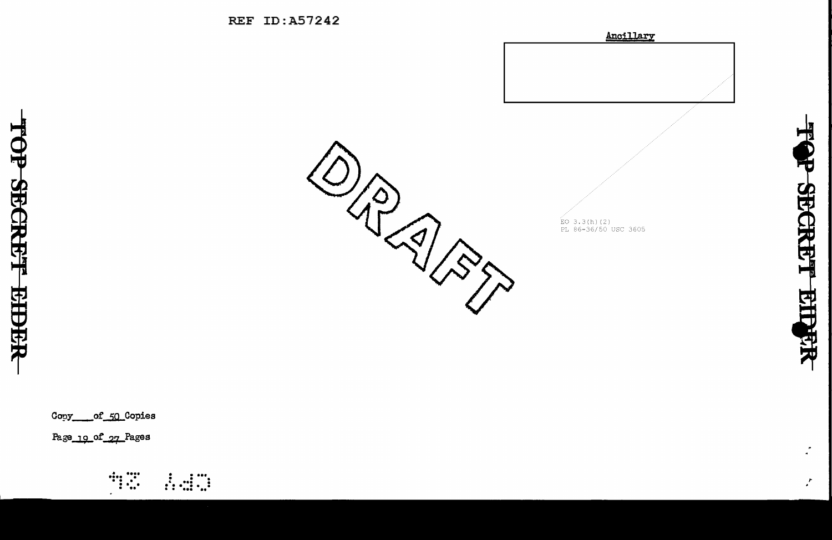



Copy of 50 Copies

Page\_19\_of\_27\_Pages



 $\mathcal{L}$ 

 $\mathcal{F}$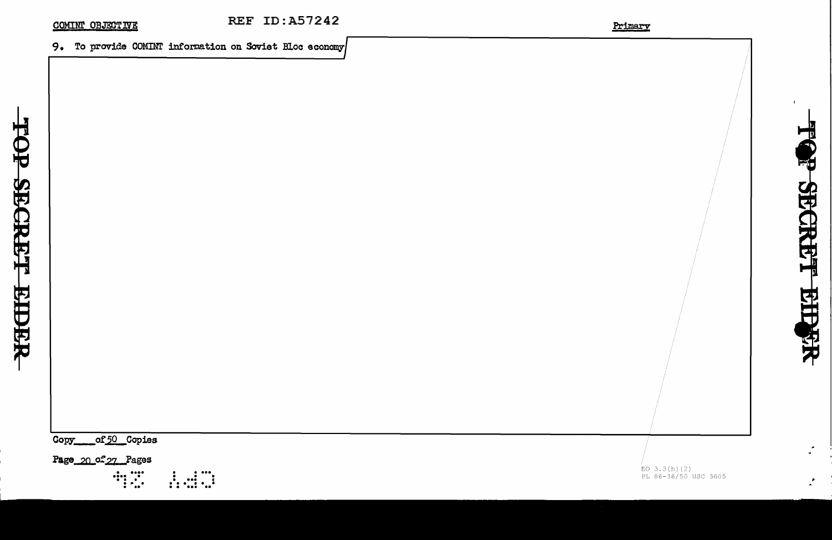#### COMINT OBJECTIVE

### 9. To provide COMINT information on Soviet Bloc economy

of 50 Copies Copy

Page 20 of 27 Pages

 $\begin{array}{cc} \cdots & \cdots \\ \cdots & \cdots \\ \vdots & \ddots & \vdots \\ \vdots & \ddots & \vdots \\ \vdots & \ddots & \vdots \\ \vdots & \ddots & \vdots \\ \vdots & \ddots & \vdots \\ \vdots & \ddots & \vdots \\ \vdots & \ddots & \vdots \\ \vdots & \ddots & \vdots \\ \vdots & \ddots & \vdots \\ \vdots & \ddots & \vdots \\ \vdots & \ddots & \vdots \\ \vdots & \ddots & \vdots \\ \vdots & \ddots & \vdots \\ \vdots & \ddots & \vdots \\ \vdots & \ddots & \vdots \\ \vdots & \ddots & \vdots \\ \vdots & \$  $\frac{1}{11}$   $\frac{1}{11}$   $\frac{1}{11}$  ΈΟ 3.3(h)(2)<br>PL 86-36/50 USC 3605

中

**OP SECRET** 

**EIRER** 

 $\mathcal{L}$ 

 $\mathbf{r}$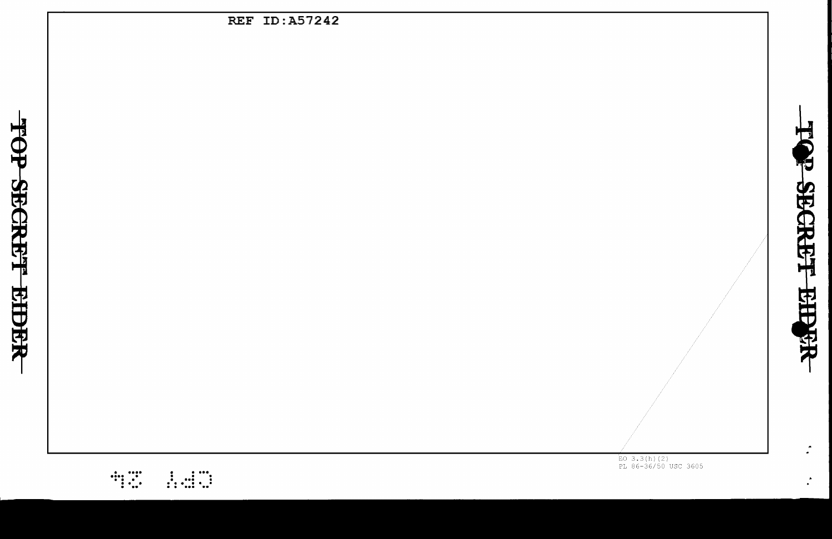| REF ID:A57242 |                                        |
|---------------|----------------------------------------|
|               |                                        |
|               |                                        |
|               |                                        |
|               |                                        |
|               |                                        |
|               |                                        |
|               |                                        |
|               |                                        |
|               |                                        |
|               |                                        |
|               |                                        |
|               |                                        |
|               |                                        |
|               |                                        |
|               |                                        |
|               |                                        |
|               |                                        |
|               |                                        |
|               |                                        |
|               |                                        |
|               |                                        |
|               |                                        |
|               | $EO$ 3.3(h)(2)<br>PL 86-36/50 USC 3605 |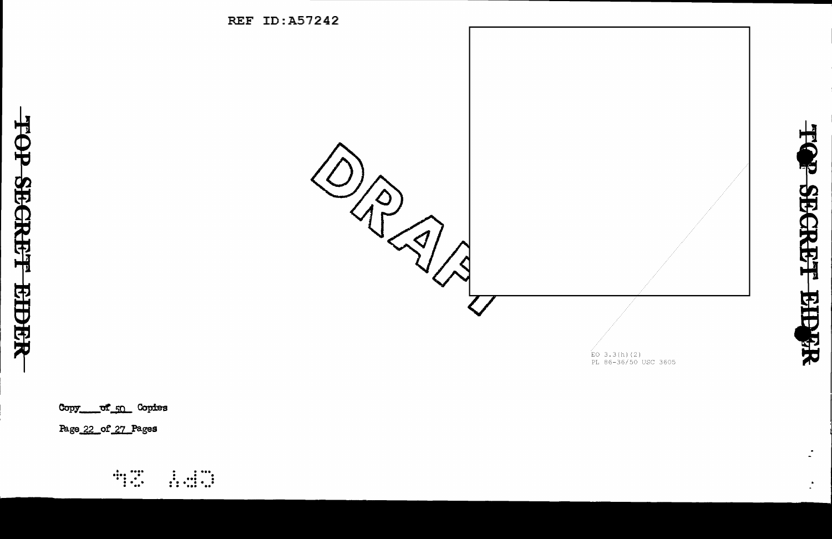

Copy of 50 Copies

Page 22 of 27 Pages

TOP SECRET

**EIDER** 

 $\begin{array}{c}\n\cdots \\
\cdots \\
\cdots\n\end{array}$  $\begin{array}{cc} 1 & \ldots & \ldots \\ \ldots & \ldots & \ldots \end{array}$  **PECRET Rifer** 

 $\mathcal{L}$ 

 $\overline{\mathbf{x}}$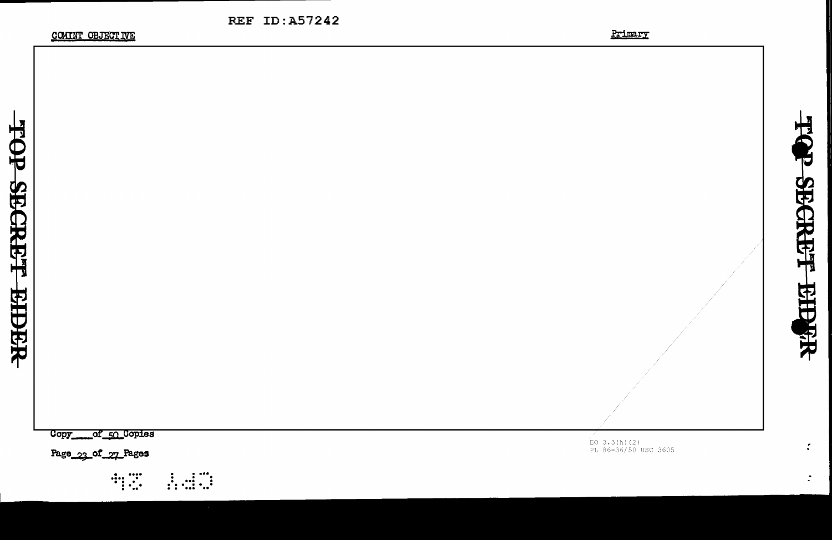**COMINT OBJECTIVE** 



\_of\_50\_Copies **Copy**  $\overline{E}$ O 3.3(h)(2)<br>PL 86-36/50 USC 3605 Page 23 of 27 Pages

**REF ID:A57242** 

TOP SBCREF EIERR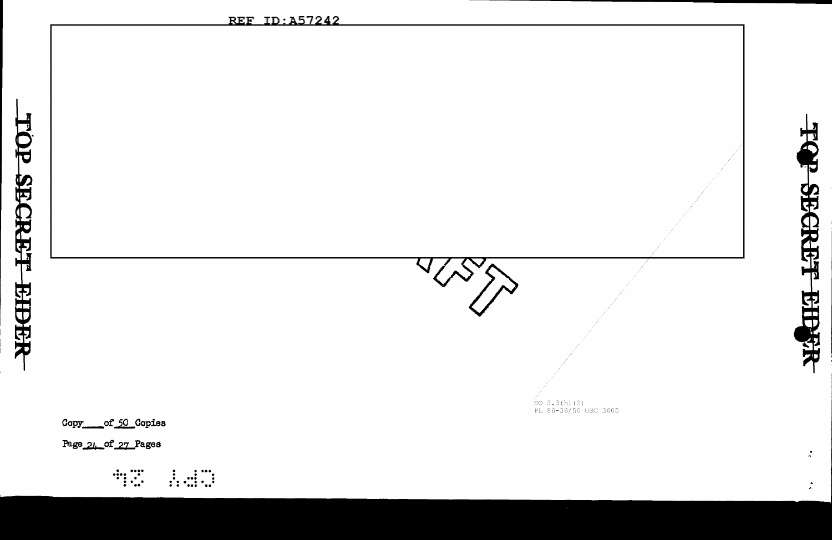$\overleftrightarrow{E}$ O 3.3(h)(2)<br>PL 86-36/50 USC 3605

TOP SECRET EIDST

 $\mathbf{r}$ 

 $\mathcal{L}$ 

Copy of 50 Copies

Page 24 of 27 Pages

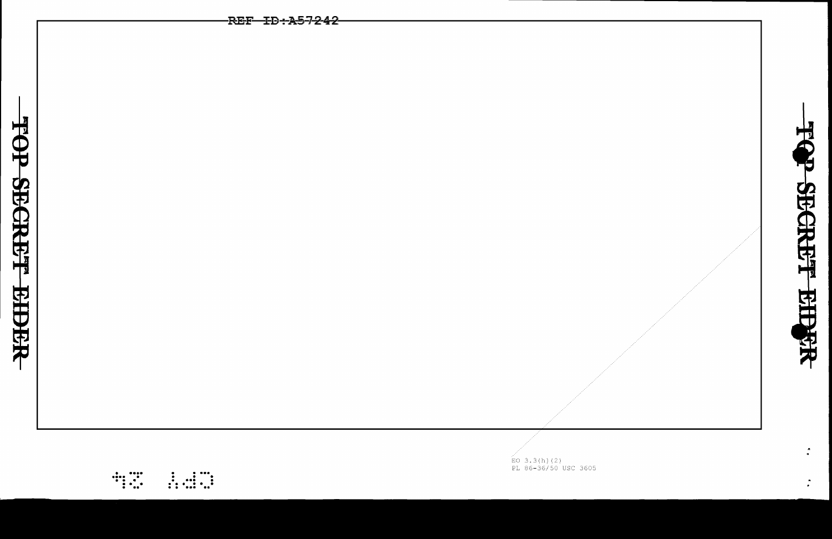|                  | -REF <del>-ID:A57242</del> |  |
|------------------|----------------------------|--|
|                  |                            |  |
|                  |                            |  |
|                  |                            |  |
|                  |                            |  |
|                  |                            |  |
|                  |                            |  |
| TOP SECRET EIDER |                            |  |
|                  |                            |  |
|                  |                            |  |
|                  |                            |  |
|                  |                            |  |
|                  |                            |  |
|                  |                            |  |
|                  |                            |  |
|                  |                            |  |
|                  |                            |  |
|                  |                            |  |
|                  |                            |  |
|                  |                            |  |
|                  |                            |  |
|                  |                            |  |
|                  |                            |  |
|                  |                            |  |
|                  |                            |  |
|                  |                            |  |

EO 3.3(h)(2)<br>EO 3.3(h)(2)<br>PL 86-36/50 USC 3605

 $\mathcal{L}$ 

 $\begin{array}{c} \begin{array}{c} \cdots \\ \cdots \end{array} \end{array}$  $\begin{array}{cccc} 1 & 1 & 1 & 1 \\ 1 & 1 & 1 & 1 \\ 1 & 1 & 1 & 1 \\ 1 & 1 & 1 & 1 & 1 \end{array}$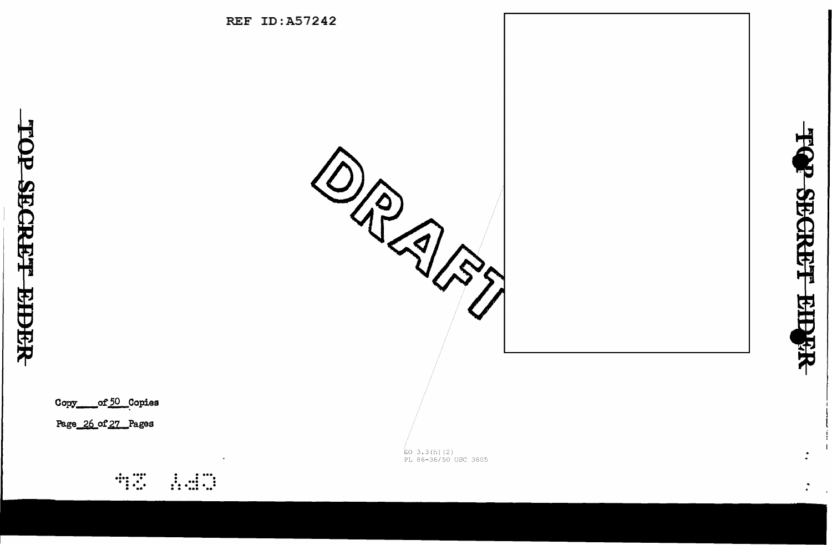Copy\_\_\_\_\_of 50\_Copies

Page 26 of 27 Pages

 $\begin{array}{c} \begin{array}{c} \bullet \\ \bullet \\ \bullet \end{array} & \begin{array}{c} \bullet \\ \bullet \\ \bullet \end{array} & \begin{array}{c} \bullet \\ \bullet \\ \bullet \end{array} \end{array}$ 



 $\stackrel{\text{{\tiny (}}}{\text{{\tiny EO}}}$  3.3(h)(2)<br>PL 86-36/50 USC 3605



 $\mathbf{r}$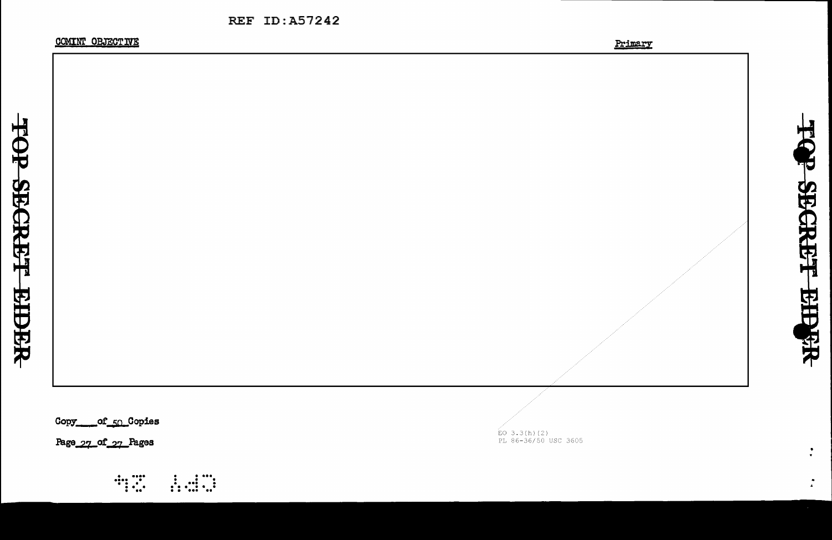COMINT OBJECTIVE

TOP SECRET

**RIDRR** 

TQP SECRET

**BEPER** 

 $\frac{1}{\sqrt{2}}$ 

 $\mathbb{Z}^{\mathbb{Z}}$ 



Copy \_\_\_\_of 50 Copies

Page 27 of 27 Pages

 $\begin{array}{c} \begin{array}{c} \cdots \\ \cdots \end{array} \\ \begin{array}{c} \cdots \\ \cdots \end{array} \end{array}$  $\frac{1}{1}$   $\frac{1}{1}$   $\frac{1}{1}$   $\frac{1}{1}$   $\stackrel{.}{E}$ O 3.3(h)(2)<br>PL 86-36/50 USC 3605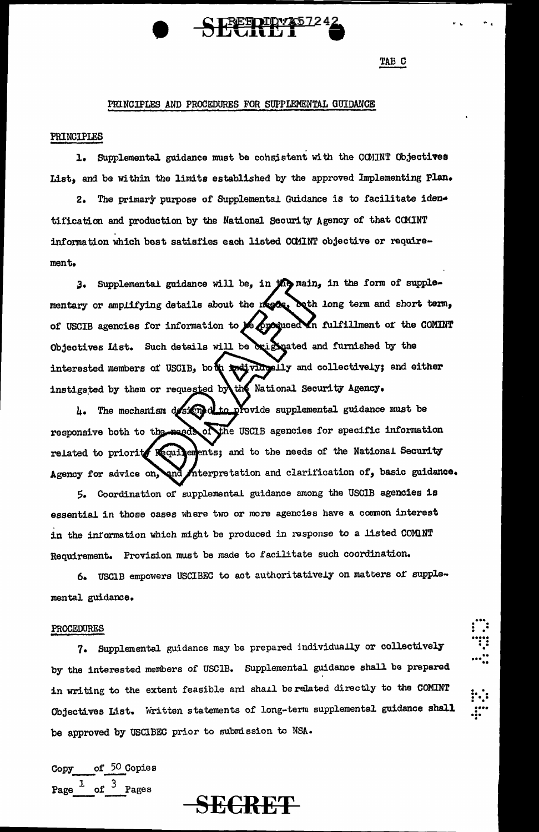## PRINCIPLES AND PROCEDURES FOR SUPPLEMENTAL GUIDANCE

#### PRINCIPLES

1. Supplemental guidance must be consistent with the COMINT Objectives List, and be within the limits established by the approved Implementing Plan.

2. The primary purpose of Supplemental Guidance is to facilitate identification and production by the National Security Agency of that CCMINT information which best satisfies each listed COMINT objective or requirement.

3. Supplemental guidance will be, in the main, in the form of supplementary or amplifying details about the needer both long term and short term, of USCIB agencies for information to peopoqueed in fulfillment of the COMINT Objectives List. Such details will be brighated and furnished by the interested members of USCIB, both malividatily and collectively; and either instigated by them or requested by the National Security Agency.

4. The mechanism designed to provide supplemental guidance must be responsive both to the magde of the USCIB agencies for specific information related to priority requirements; and to the needs of the National Security Interpretation and clarification of, basic guidance. Agency for advice on, and

5. Coordination of supplemental guidance among the USCIB agencies is essential in those cases where two or more agencies have a common interest in the information which might be produced in response to a listed COMINT Requirement. Provision must be made to facilitate such coordination.

6. USCIB empowers USCIBEC to act authoritatively on matters of supplemental guidance.

#### PROCEDURES

7. Supplemental guidance may be prepared individually or collectively by the interested members of USCIB. Supplemental guidance shall be prepared in writing to the extent feasible and shall be related directly to the COMINT Objectives List. Written statements of long-term supplemental guidance shall be approved by USCIBEC prior to submission to NSA.

of 50 Copies Copy Page  $1$ of  $3$  Pages



TAB C

;<br>; ; ;<br>; ; ; ;<br>; ; ; ;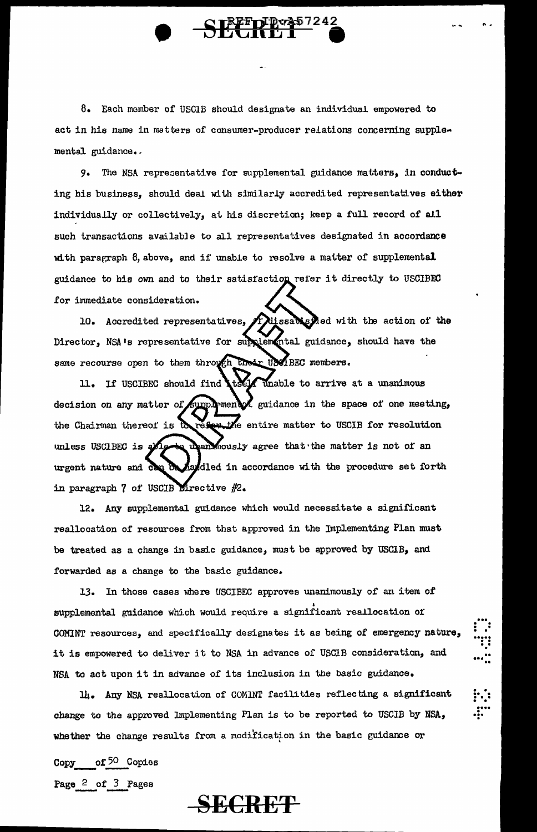8. Each member of USClB should designate an individual empowered to act in his name in matters of consumer-producer relations concerning supplemental guidance.

.. .

. ••• . . • . • ..... . . •• .

.. ••• ..

 $\vdots$  : • • .... • ••• .

•<br>•

9. The NSA representative for supplemental guidance matters, in conducting his business, should deal with similarly accredited representatives either individually or collectively, at his discretion; keep a full record of all such transactions available to all representatives designated in accordance with paragraph 8, above, and if unable to resolve a matter of supplemental guidance to his own and to their satisfaction refer it directly to USCIBEC for immediate consideration.

10. Accredited representatives,  $A$  Missabisfied with the action of the Director, NSA's representative for supplemental guidance, should have the same recourse open to them through their USCIBEC members.

11. If USCIBEC should find to y unable to arrive at a unanimous decision on any matter of supplement  $\mathcal{A}$  guidance in the space of one meeting, resertle entire matter to USCIB for resolution the Chairman thereof is  $\mathcal{D}_{\lambda}$ upan mously agree that the matter is not of an unless USCIBEC is a haddled in accordance with the procedure set forth urgent nature and can in paragraph 7 of USCIB Directive  $#2$ .

12. Any supplemental guidance which would necessitate a significant reallocation of resources from that approved in the Implementing Plan must be treated as a change in basic guidance, must be approved by USCIB, and forwarded as a change to the basic guidance.

13. In those cases where USCIBEC approves unanimously or an item of supplemental guidance which would require a significant reallocation of COMINT resources, and specifically designates it as being of emergency nature, it is empowered to deliver it to NSA in advance of USCIB consideration, and NSA to act upon it in advance of its inclusion in the basic guidance.

li. Any NSA reallocation of COMINT facilities reflecting a significant change to the approved Implementing Plan is to be reported to USCIB by NSA, whether the change results from a modification in the basic guidance or

Copy of 50 Copies Page 2 of 3 Pages Page 2 of 3 Pages<br>-- SECRET